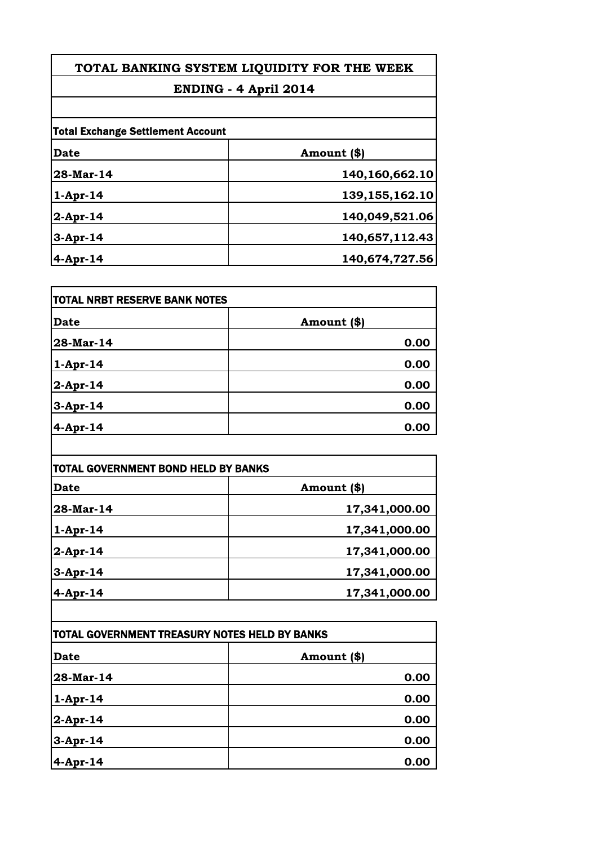## **TOTAL BANKING SYSTEM LIQUIDITY FOR THE WEEK ENDING - 4 April 2014**

| <b>Total Exchange Settlement Account</b> |                   |
|------------------------------------------|-------------------|
| Date                                     | Amount (\$)       |
| 28-Mar-14                                | 140,160,662.10    |
| $1-Apr-14$                               | 139, 155, 162. 10 |
| $2$ -Apr-14                              | 140,049,521.06    |
| $3-Apr-14$                               | 140,657,112.43    |
| $4$ -Apr-14                              | 140,674,727.56    |

| TOTAL NRBT RESERVE BANK NOTES |             |
|-------------------------------|-------------|
| <b>Date</b>                   | Amount (\$) |
| 28-Mar-14                     | 0.00        |
| $1-Apr-14$                    | 0.00        |
| $2$ -Apr-14                   | 0.00        |
| $3-Apr-14$                    | 0.00        |
| $4$ -Apr-14                   | 0.00        |

| TOTAL GOVERNMENT BOND HELD BY BANKS |               |
|-------------------------------------|---------------|
| <b>Date</b>                         | Amount (\$)   |
| 28-Mar-14                           | 17,341,000.00 |
| $1-Apr-14$                          | 17,341,000.00 |
| $2$ -Apr-14                         | 17,341,000.00 |
| $3-Apr-14$                          | 17,341,000.00 |
| $4-Apr-14$                          | 17,341,000.00 |

| TOTAL GOVERNMENT TREASURY NOTES HELD BY BANKS |             |
|-----------------------------------------------|-------------|
| <b>Date</b>                                   | Amount (\$) |
| 28-Mar-14                                     | 0.00        |
| $1-Apr-14$                                    | 0.00        |
| $2$ -Apr-14                                   | 0.00        |
| $3-Apr-14$                                    | 0.00        |
| $4$ -Apr-14                                   | 0.00        |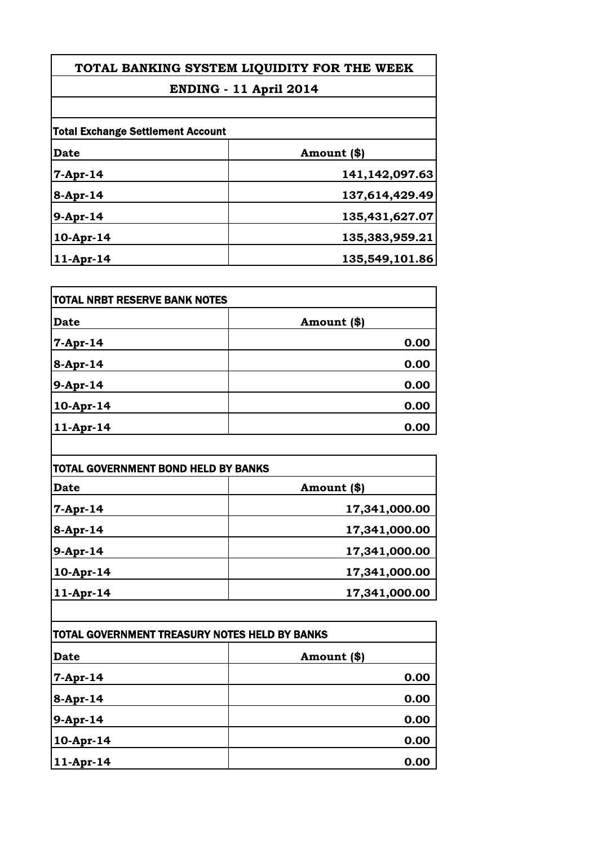## **TOTAL BANKING SYSTEM LIQUIDITY FOR THE WEEK**

## **ENDING - 11 April 2014**

| <b>Total Exchange Settlement Account</b> |                |
|------------------------------------------|----------------|
| Date                                     | Amount (\$)    |
| $7-Apr-14$                               | 141,142,097.63 |
| 8-Apr-14                                 | 137,614,429.49 |
| 9-Apr-14                                 | 135,431,627.07 |
| 10-Apr-14                                | 135,383,959.21 |
| $11-Apr-14$                              | 135,549,101.86 |

| <b>TOTAL NRBT RESERVE BANK NOTES</b> |             |
|--------------------------------------|-------------|
| <b>Date</b>                          | Amount (\$) |
| $7-Apr-14$                           | 0.00        |
| 8-Apr-14                             | 0.00        |
| 9-Apr-14                             | 0.00        |
| 10-Apr-14                            | 0.00        |
| $ 11-Apr-14 $                        | 0.00        |

| TOTAL GOVERNMENT BOND HELD BY BANKS |               |
|-------------------------------------|---------------|
| <b>Date</b>                         | Amount (\$)   |
| 7-Apr-14                            | 17,341,000.00 |
| $8$ -Apr-14                         | 17,341,000.00 |
| 9-Apr-14                            | 17,341,000.00 |
| $10-Apr-14$                         | 17,341,000.00 |
| $11-Apr-14$                         | 17,341,000.00 |

| TOTAL GOVERNMENT TREASURY NOTES HELD BY BANKS |             |
|-----------------------------------------------|-------------|
| <b>Date</b>                                   | Amount (\$) |
| $7-Apr-14$                                    | 0.00        |
| 8-Apr-14                                      | 0.00        |
| 9-Apr-14                                      | 0.00        |
| 10-Apr-14                                     | 0.00        |
| 11-Apr-14                                     | 0.00        |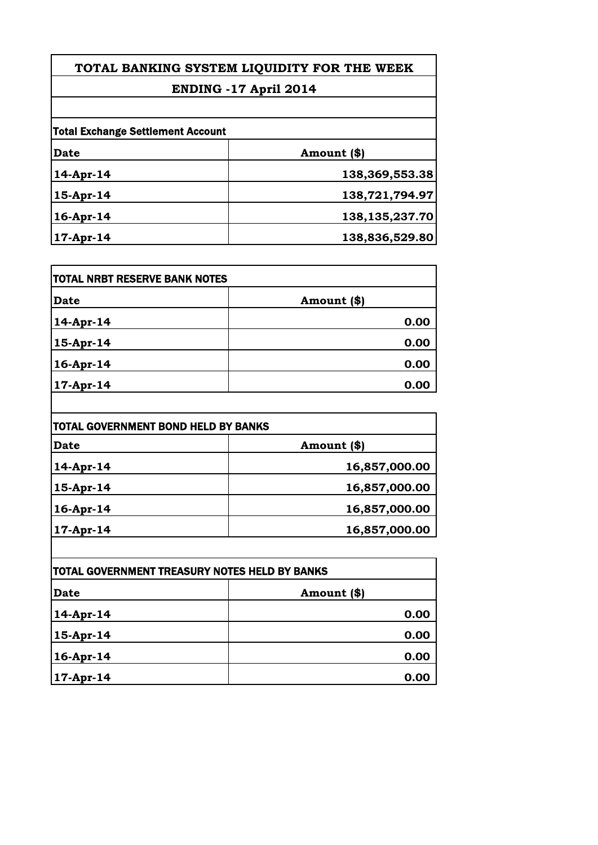## Total Exchange Settlement Account **Date Amount (\$) 14-Apr-14 138,369,553.38 15-Apr-14 138,721,794.97 16-Apr-14 138,135,237.70 TOTAL BANKING SYSTEM LIQUIDITY FOR THE WEEK ENDING -17 April 2014**

**17-Apr-14 138,836,529.80**

| <b>ITOTAL NRBT RESERVE BANK NOTES</b> |               |
|---------------------------------------|---------------|
| <b>Date</b>                           | Amount $(\$)$ |
| 14-Apr-14                             | 0.00          |
| 15-Apr-14                             | 0.00          |
| 16-Apr-14                             | 0.00          |
| $17-Apr-14$                           | 0.00          |

| TOTAL GOVERNMENT BOND HELD BY BANKS |               |
|-------------------------------------|---------------|
| <b>Date</b>                         | Amount (\$)   |
| 14-Apr-14                           | 16,857,000.00 |
| 15-Apr-14                           | 16,857,000.00 |
| 16-Apr-14                           | 16,857,000.00 |
| $17-Apr-14$                         | 16,857,000.00 |

| TOTAL GOVERNMENT TREASURY NOTES HELD BY BANKS |             |
|-----------------------------------------------|-------------|
| <b>Date</b>                                   | Amount (\$) |
| 14-Apr-14                                     | 0.00        |
| 15-Apr-14                                     | 0.00        |
| 16-Apr-14                                     | 0.00        |
| 17-Apr-14                                     | 0.00        |